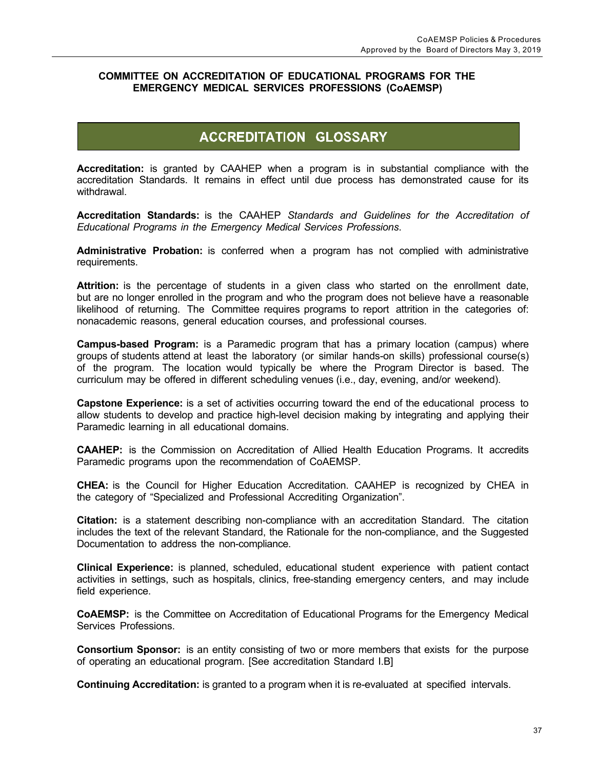## **COMMITTEE ON ACCREDITATION OF EDUCATIONAL PROGRAMS FOR THE EMERGENCY MEDICAL SERVICES PROFESSIONS (CoAEMSP)**

## **ACCREDITATION GLOSSARY**

**Accreditation:** is granted by CAAHEP when a program is in substantial compliance with the accreditation Standards. It remains in effect until due process has demonstrated cause for its withdrawal.

**Accreditation Standards:** is the CAAHEP *Standards and Guidelines for the Accreditation of Educational Programs in the Emergency Medical Services Professions*.

**Administrative Probation:** is conferred when a program has not complied with administrative requirements.

**Attrition:** is the percentage of students in a given class who started on the enrollment date, but are no longer enrolled in the program and who the program does not believe have a reasonable likelihood of returning. The Committee requires programs to report attrition in the categories of: nonacademic reasons, general education courses, and professional courses.

**Campus-based Program:** is a Paramedic program that has a primary location (campus) where groups of students attend at least the laboratory (or similar hands-on skills) professional course(s) of the program. The location would typically be where the Program Director is based. The curriculum may be offered in different scheduling venues (i.e., day, evening, and/or weekend).

**Capstone Experience:** is a set of activities occurring toward the end of the educational process to allow students to develop and practice high-level decision making by integrating and applying their Paramedic learning in all educational domains.

**CAAHEP:** is the Commission on Accreditation of Allied Health Education Programs. It accredits Paramedic programs upon the recommendation of CoAEMSP.

**CHEA:** is the Council for Higher Education Accreditation. CAAHEP is recognized by CHEA in the category of "Specialized and Professional Accrediting Organization".

**Citation:** is a statement describing non-compliance with an accreditation Standard. The citation includes the text of the relevant Standard, the Rationale for the non-compliance, and the Suggested Documentation to address the non-compliance.

**Clinical Experience:** is planned, scheduled, educational student experience with patient contact activities in settings, such as hospitals, clinics, free-standing emergency centers, and may include field experience.

**CoAEMSP:** is the Committee on Accreditation of Educational Programs for the Emergency Medical Services Professions.

**Consortium Sponsor:** is an entity consisting of two or more members that exists for the purpose of operating an educational program. [See accreditation Standard I.B]

**Continuing Accreditation:** is granted to a program when it is re-evaluated at specified intervals.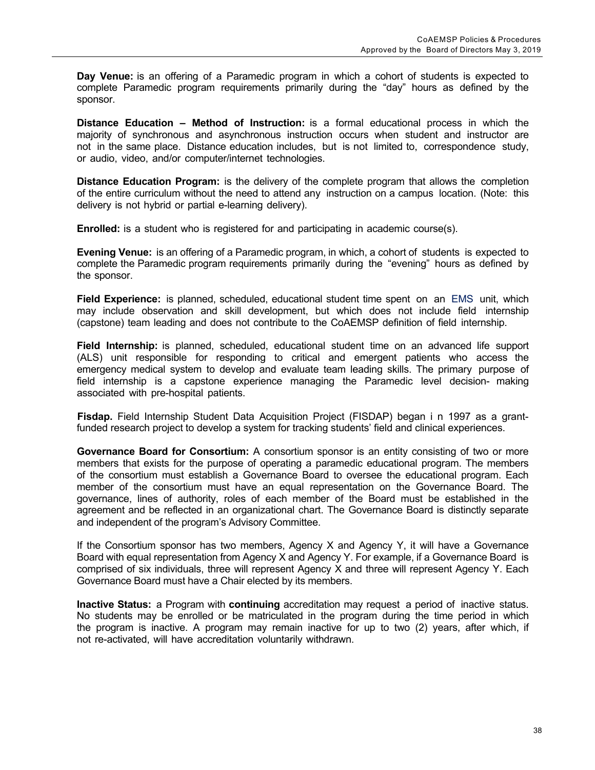**Day Venue:** is an offering of a Paramedic program in which a cohort of students is expected to complete Paramedic program requirements primarily during the "day" hours as defined by the sponsor.

**Distance Education – Method of Instruction:** is a formal educational process in which the majority of synchronous and asynchronous instruction occurs when student and instructor are not in the same place. Distance education includes, but is not limited to, correspondence study, or audio, video, and/or computer/internet technologies.

**Distance Education Program:** is the delivery of the complete program that allows the completion of the entire curriculum without the need to attend any instruction on a campus location. (Note: this delivery is not hybrid or partial e-learning delivery).

**Enrolled:** is a student who is registered for and participating in academic course(s).

**Evening Venue:** is an offering of a Paramedic program, in which, a cohort of students is expected to complete the Paramedic program requirements primarily during the "evening" hours as defined by the sponsor.

**Field Experience:** is planned, scheduled, educational student time spent on an EMS unit, which may include observation and skill development, but which does not include field internship (capstone) team leading and does not contribute to the CoAEMSP definition of field internship.

**Field Internship:** is planned, scheduled, educational student time on an advanced life support (ALS) unit responsible for responding to critical and emergent patients who access the emergency medical system to develop and evaluate team leading skills. The primary purpose of field internship is a capstone experience managing the Paramedic level decision- making associated with pre-hospital patients.

**Fisdap.** Field Internship Student Data Acquisition Project (FISDAP) began i n 1997 as a grantfunded research project to develop a system for tracking students' field and clinical experiences.

**Governance Board for Consortium:** A consortium sponsor is an entity consisting of two or more members that exists for the purpose of operating a paramedic educational program. The members of the consortium must establish a Governance Board to oversee the educational program. Each member of the consortium must have an equal representation on the Governance Board. The governance, lines of authority, roles of each member of the Board must be established in the agreement and be reflected in an organizational chart. The Governance Board is distinctly separate and independent of the program's Advisory Committee.

If the Consortium sponsor has two members, Agency X and Agency Y, it will have a Governance Board with equal representation from Agency X and Agency Y. For example, if a Governance Board is comprised of six individuals, three will represent Agency X and three will represent Agency Y. Each Governance Board must have a Chair elected by its members.

**Inactive Status:** a Program with **continuing** accreditation may request a period of inactive status. No students may be enrolled or be matriculated in the program during the time period in which the program is inactive. A program may remain inactive for up to two (2) years, after which, if not re-activated, will have accreditation voluntarily withdrawn.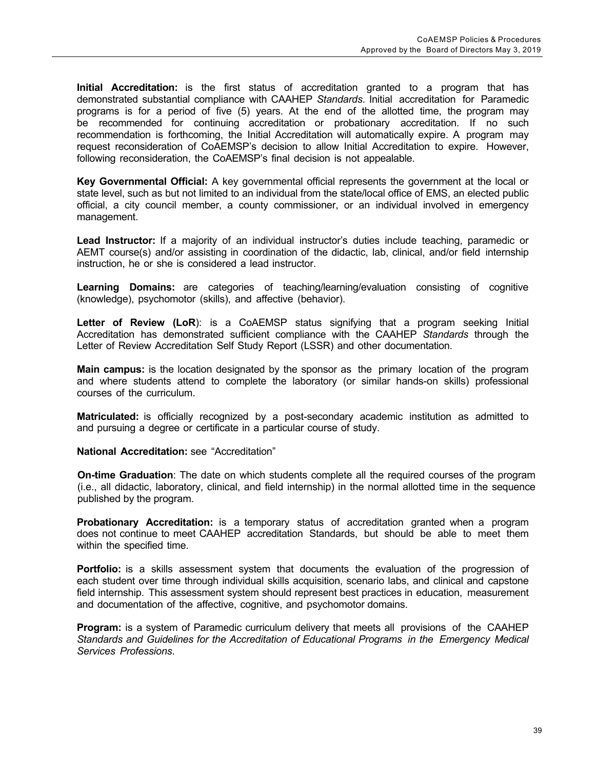**Initial Accreditation:** is the first status of accreditation granted to a program that has demonstrated substantial compliance with CAAHEP *Standards*. Initial accreditation for Paramedic programs is for a period of five (5) years. At the end of the allotted time, the program may be recommended for continuing accreditation or probationary accreditation. If no such recommendation is forthcoming, the Initial Accreditation will automatically expire. A program may request reconsideration of CoAEMSP's decision to allow Initial Accreditation to expire. However, following reconsideration, the CoAEMSP's final decision is not appealable.

**Key Governmental Official:** A key governmental official represents the government at the local or state level, such as but not limited to an individual from the state/local office of EMS, an elected public official, a city council member, a county commissioner, or an individual involved in emergency management.

**Lead Instructor:** If a majority of an individual instructor's duties include teaching, paramedic or AEMT course(s) and/or assisting in coordination of the didactic, lab, clinical, and/or field internship instruction, he or she is considered a lead instructor.

**Learning Domains:** are categories of teaching/learning/evaluation consisting of cognitive (knowledge), psychomotor (skills), and affective (behavior).

**Letter of Review (LoR**): is a CoAEMSP status signifying that a program seeking Initial Accreditation has demonstrated sufficient compliance with the CAAHEP *Standards* through the Letter of Review Accreditation Self Study Report (LSSR) and other documentation.

**Main campus:** is the location designated by the sponsor as the primary location of the program and where students attend to complete the laboratory (or similar hands-on skills) professional courses of the curriculum.

**Matriculated:** is officially recognized by a post-secondary academic institution as admitted to and pursuing a degree or certificate in a particular course of study.

**National Accreditation:** see "Accreditation"

**On-time Graduation**: The date on which students complete all the required courses of the program (i.e., all didactic, laboratory, clinical, and field internship) in the normal allotted time in the sequence published by the program.

**Probationary Accreditation:** is a temporary status of accreditation granted when a program does not continue to meet CAAHEP accreditation Standards, but should be able to meet them within the specified time.

**Portfolio:** is a skills assessment system that documents the evaluation of the progression of each student over time through individual skills acquisition, scenario labs, and clinical and capstone field internship. This assessment system should represent best practices in education, measurement and documentation of the affective, cognitive, and psychomotor domains.

**Program:** is a system of Paramedic curriculum delivery that meets all provisions of the CAAHEP *Standards and Guidelines for the Accreditation of Educational Programs in the Emergency Medical Services Professions*.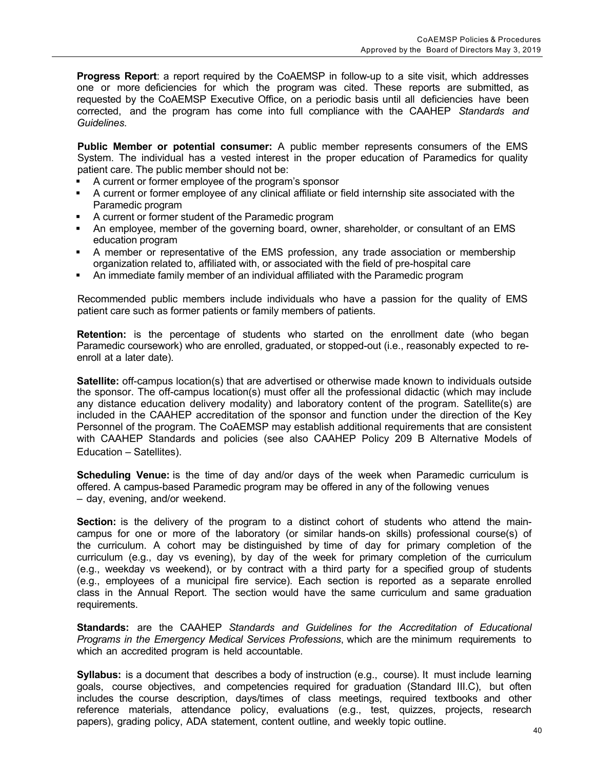**Progress Report**: a report required by the CoAEMSP in follow-up to a site visit, which addresses one or more deficiencies for which the program was cited. These reports are submitted, as requested by the CoAEMSP Executive Office, on a periodic basis until all deficiencies have been corrected, and the program has come into full compliance with the CAAHEP *Standards and Guidelines*.

**Public Member or potential consumer:** A public member represents consumers of the EMS System. The individual has a vested interest in the proper education of Paramedics for quality patient care. The public member should not be:

- § A current or former employee of the program's sponsor
- § A current or former employee of any clinical affiliate or field internship site associated with the Paramedic program
- § A current or former student of the Paramedic program
- § An employee, member of the governing board, owner, shareholder, or consultant of an EMS education program
- **•** A member or representative of the EMS profession, any trade association or membership organization related to, affiliated with, or associated with the field of pre-hospital care
- § An immediate family member of an individual affiliated with the Paramedic program

Recommended public members include individuals who have a passion for the quality of EMS patient care such as former patients or family members of patients.

**Retention:** is the percentage of students who started on the enrollment date (who began Paramedic coursework) who are enrolled, graduated, or stopped-out (i.e., reasonably expected to reenroll at a later date).

**Satellite:** off-campus location(s) that are advertised or otherwise made known to individuals outside the sponsor. The off-campus location(s) must offer all the professional didactic (which may include any distance education delivery modality) and laboratory content of the program. Satellite(s) are included in the CAAHEP accreditation of the sponsor and function under the direction of the Key Personnel of the program. The CoAEMSP may establish additional requirements that are consistent with CAAHEP Standards and policies (see also CAAHEP Policy 209 B Alternative Models of Education – Satellites).

**Scheduling Venue:** is the time of day and/or days of the week when Paramedic curriculum is offered. A campus-based Paramedic program may be offered in any of the following venues – day, evening, and/or weekend.

**Section:** is the delivery of the program to a distinct cohort of students who attend the maincampus for one or more of the laboratory (or similar hands-on skills) professional course(s) of the curriculum. A cohort may be distinguished by time of day for primary completion of the curriculum (e.g., day vs evening), by day of the week for primary completion of the curriculum (e.g., weekday vs weekend), or by contract with a third party for a specified group of students (e.g., employees of a municipal fire service). Each section is reported as a separate enrolled class in the Annual Report. The section would have the same curriculum and same graduation requirements.

**Standards:** are the CAAHEP *Standards and Guidelines for the Accreditation of Educational Programs in the Emergency Medical Services Professions*, which are the minimum requirements to which an accredited program is held accountable.

**Syllabus:** is a document that describes a body of instruction (e.g., course). It must include learning goals, course objectives, and competencies required for graduation (Standard III.C), but often includes the course description, days/times of class meetings, required textbooks and other reference materials, attendance policy, evaluations (e.g., test, quizzes, projects, research papers), grading policy, ADA statement, content outline, and weekly topic outline.